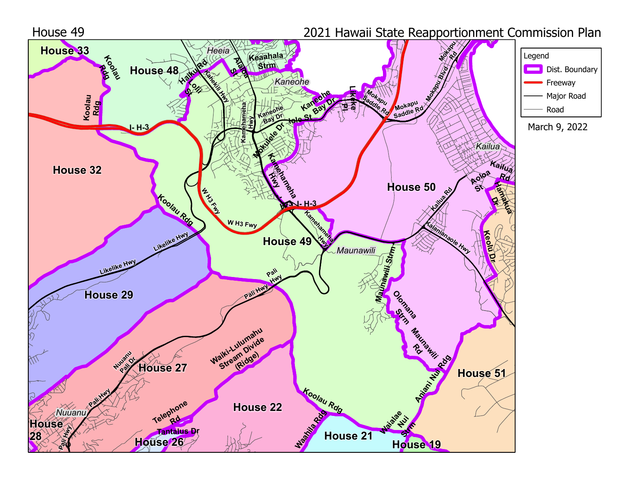